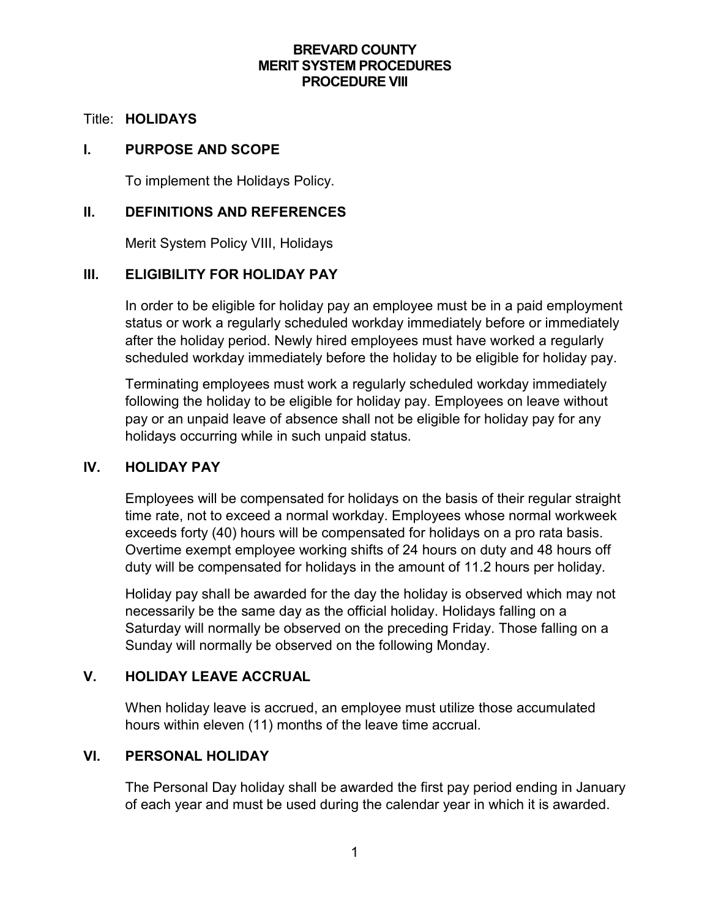### **BREVARD COUNTY MERIT SYSTEM PROCEDURES PROCEDURE VIII**

#### Title: **HOLIDAYS**

### **I. PURPOSE AND SCOPE**

To implement the Holidays Policy.

### **II. DEFINITIONS AND REFERENCES**

Merit System Policy VIII, Holidays

### **III. ELIGIBILITY FOR HOLIDAY PAY**

In order to be eligible for holiday pay an employee must be in a paid employment status or work a regularly scheduled workday immediately before or immediately after the holiday period. Newly hired employees must have worked a regularly scheduled workday immediately before the holiday to be eligible for holiday pay.

Terminating employees must work a regularly scheduled workday immediately following the holiday to be eligible for holiday pay. Employees on leave without pay or an unpaid leave of absence shall not be eligible for holiday pay for any holidays occurring while in such unpaid status.

### **IV. HOLIDAY PAY**

Employees will be compensated for holidays on the basis of their regular straight time rate, not to exceed a normal workday. Employees whose normal workweek exceeds forty (40) hours will be compensated for holidays on a pro rata basis. Overtime exempt employee working shifts of 24 hours on duty and 48 hours off duty will be compensated for holidays in the amount of 11.2 hours per holiday.

Holiday pay shall be awarded for the day the holiday is observed which may not necessarily be the same day as the official holiday. Holidays falling on a Saturday will normally be observed on the preceding Friday. Those falling on a Sunday will normally be observed on the following Monday.

## **V. HOLIDAY LEAVE ACCRUAL**

When holiday leave is accrued, an employee must utilize those accumulated hours within eleven (11) months of the leave time accrual.

### **VI. PERSONAL HOLIDAY**

The Personal Day holiday shall be awarded the first pay period ending in January of each year and must be used during the calendar year in which it is awarded.